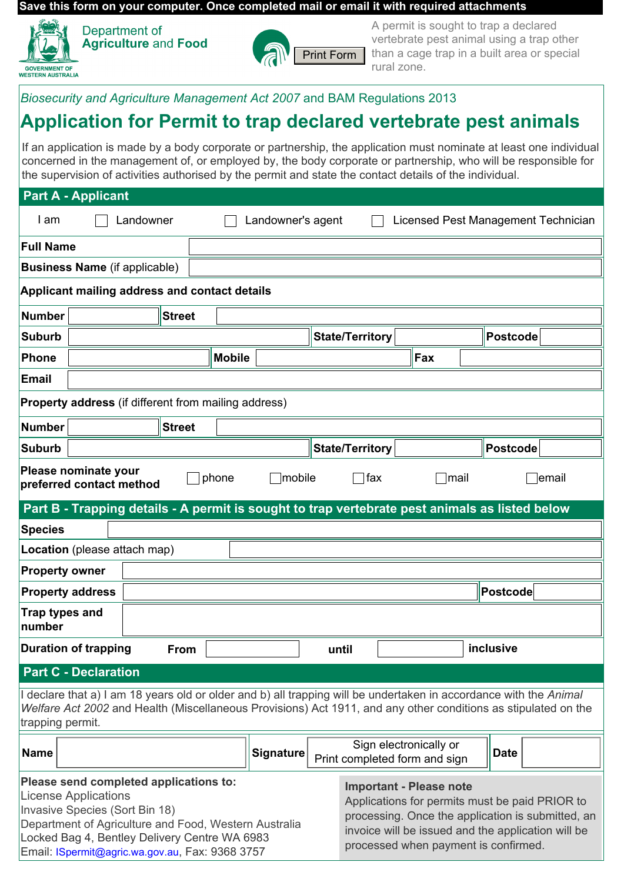#### **Save this form on your computer. Once completed mail or email it with required attachments**



Department of **Agriculture and Food** 



A permit is sought to trap a declared vertebrate pest animal using a trap other than a cage trap in a built area or special rural zone.

### *Biosecurity and Agriculture Management Act 2007* and BAM Regulations 2013

# **Application for Permit to trap declared vertebrate pest animals**

If an application is made by a body corporate or partnership, the application must nominate at least one individual concerned in the management of, or employed by, the body corporate or partnership, who will be responsible for the supervision of activities authorised by the permit and state the contact details of the individual.

### **Part A - Applicant**

| I am                                                                                                                                                                                                                                                                                                      |                             | Landowner |               |               | Landowner's agent<br>Licensed Pest Management Technician |       |                        |                                                         |                 |          |  |
|-----------------------------------------------------------------------------------------------------------------------------------------------------------------------------------------------------------------------------------------------------------------------------------------------------------|-----------------------------|-----------|---------------|---------------|----------------------------------------------------------|-------|------------------------|---------------------------------------------------------|-----------------|----------|--|
| <b>Full Name</b>                                                                                                                                                                                                                                                                                          |                             |           |               |               |                                                          |       |                        |                                                         |                 |          |  |
| <b>Business Name</b> (if applicable)                                                                                                                                                                                                                                                                      |                             |           |               |               |                                                          |       |                        |                                                         |                 |          |  |
| Applicant mailing address and contact details                                                                                                                                                                                                                                                             |                             |           |               |               |                                                          |       |                        |                                                         |                 |          |  |
| <b>Number</b>                                                                                                                                                                                                                                                                                             |                             |           | <b>Street</b> |               |                                                          |       |                        |                                                         |                 |          |  |
| <b>Suburb</b>                                                                                                                                                                                                                                                                                             |                             |           |               |               |                                                          |       | <b>State/Territory</b> |                                                         | Postcode        |          |  |
| <b>Phone</b>                                                                                                                                                                                                                                                                                              |                             |           |               | <b>Mobile</b> |                                                          |       |                        | Fax                                                     |                 |          |  |
| <b>Email</b>                                                                                                                                                                                                                                                                                              |                             |           |               |               |                                                          |       |                        |                                                         |                 |          |  |
| <b>Property address</b> (if different from mailing address)                                                                                                                                                                                                                                               |                             |           |               |               |                                                          |       |                        |                                                         |                 |          |  |
| <b>Number</b>                                                                                                                                                                                                                                                                                             |                             |           | <b>Street</b> |               |                                                          |       |                        |                                                         |                 |          |  |
| <b>Suburb</b>                                                                                                                                                                                                                                                                                             |                             |           |               |               |                                                          |       | <b>State/Territory</b> |                                                         | <b>Postcode</b> |          |  |
| Please nominate your<br>mobile<br>phone<br>$\sqcap$ fax<br>email<br>∣mail<br>preferred contact method                                                                                                                                                                                                     |                             |           |               |               |                                                          |       |                        |                                                         |                 |          |  |
| Part B - Trapping details - A permit is sought to trap vertebrate pest animals as listed below                                                                                                                                                                                                            |                             |           |               |               |                                                          |       |                        |                                                         |                 |          |  |
| <b>Species</b>                                                                                                                                                                                                                                                                                            |                             |           |               |               |                                                          |       |                        |                                                         |                 |          |  |
| Location (please attach map)                                                                                                                                                                                                                                                                              |                             |           |               |               |                                                          |       |                        |                                                         |                 |          |  |
| <b>Property owner</b>                                                                                                                                                                                                                                                                                     |                             |           |               |               |                                                          |       |                        |                                                         |                 |          |  |
|                                                                                                                                                                                                                                                                                                           | <b>Property address</b>     |           |               |               |                                                          |       |                        |                                                         |                 | Postcode |  |
| Trap types and<br>number                                                                                                                                                                                                                                                                                  |                             |           |               |               |                                                          |       |                        |                                                         |                 |          |  |
|                                                                                                                                                                                                                                                                                                           | <b>Duration of trapping</b> |           | <b>From</b>   |               |                                                          | until |                        |                                                         | inclusive       |          |  |
| <b>Part C - Declaration</b>                                                                                                                                                                                                                                                                               |                             |           |               |               |                                                          |       |                        |                                                         |                 |          |  |
| I declare that a) I am 18 years old or older and b) all trapping will be undertaken in accordance with the Animal<br>Welfare Act 2002 and Health (Miscellaneous Provisions) Act 1911, and any other conditions as stipulated on the<br>trapping permit.                                                   |                             |           |               |               |                                                          |       |                        |                                                         |                 |          |  |
| <b>Name</b>                                                                                                                                                                                                                                                                                               |                             |           |               |               | <b>Signature</b>                                         |       |                        | Sign electronically or<br>Print completed form and sign | <b>Date</b>     |          |  |
| Please send completed applications to:<br><b>Important - Please note</b><br><b>License Applications</b><br>Applications for permits must be paid PRIOR to<br>Invasive Species (Sort Bin 18)<br>processing. Once the application is submitted, an<br>Department of Agriculture and Food, Western Australia |                             |           |               |               |                                                          |       |                        |                                                         |                 |          |  |

Locked Bag 4, Bentley Delivery Centre WA 6983

## Email: ISpermit@agric.wa.gov.au, Fax: 9368 3757

processing. Once the application is submitted, an invoice will be issued and the application will be processed when payment is confirmed.